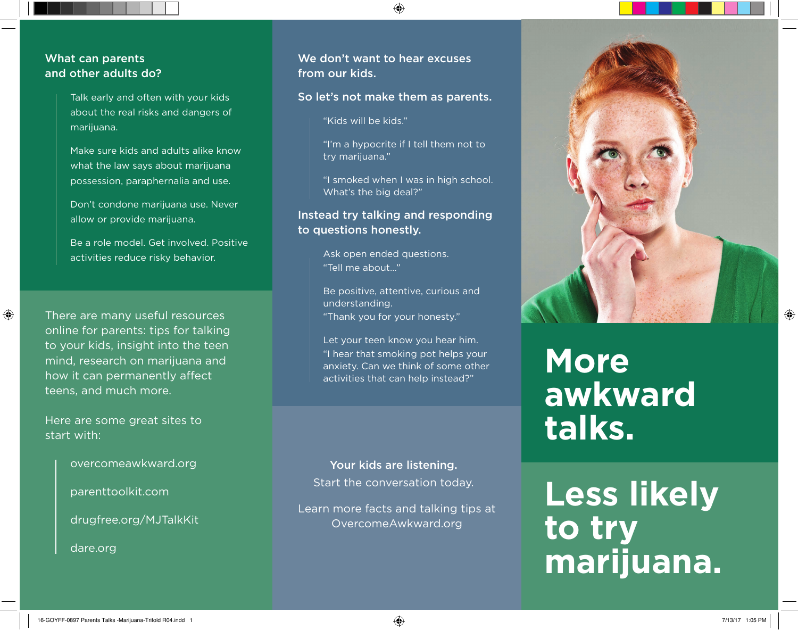#### What can parents and other adults do?

Talk early and often with your kids about the real risks and dangers of marijuana.

Make sure kids and adults alike know what the law says about marijuana possession, paraphernalia and use.

Don't condone marijuana use. Never allow or provide marijuana.

Be a role model. Get involved. Positive activities reduce risky behavior.

⊕

There are many useful resources online for parents: tips for talking to your kids, insight into the teen mind, research on marijuana and how it can permanently affect teens, and much more.

Here are some great sites to start with:

overcomeawkward.org

parenttoolkit.com

drugfree.org/MJTalkKit

dare.org

We don't want to hear excuses from our kids.

#### So let's not make them as parents.

♠

"Kids will be kids."

"I'm a hypocrite if I tell them not to try marijuana."

"I smoked when I was in high school. What's the big deal?"

### Instead try talking and responding to questions honestly.

Ask open ended questions. "Tell me about…"

Be positive, attentive, curious and understanding. "Thank you for your honesty."

Let your teen know you hear him. "I hear that smoking pot helps your anxiety. Can we think of some other activities that can help instead?"

Your kids are listening. Start the conversation today.

Learn more facts and talking tips at OvercomeAwkward.org



# **More awkward talks.**

**Less likely to try marijuana.**  $\bigoplus$